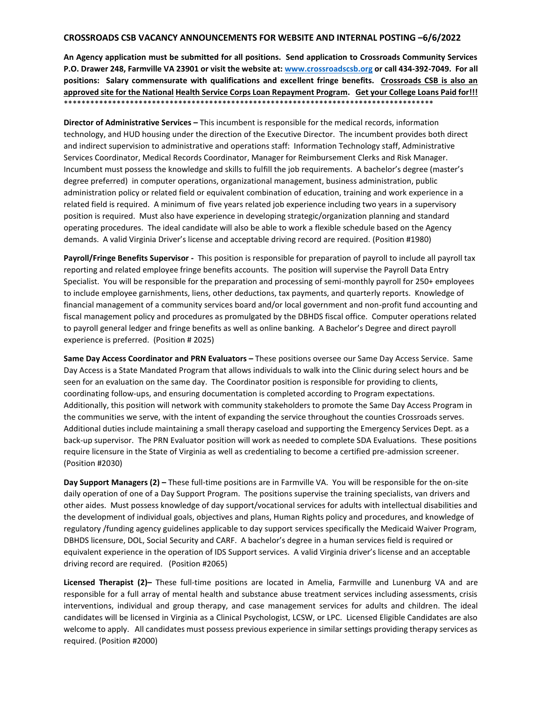## **CROSSROADS CSB VACANCY ANNOUNCEMENTS FOR WEBSITE AND INTERNAL POSTING –6/6/2022**

**An Agency application must be submitted for all positions. Send application to Crossroads Community Services P.O. Drawer 248, Farmville VA 23901 or visit the website at: [www.crossroadscsb.org](http://www.crossroadscsb.org/) or call 434-392-7049. For all positions: Salary commensurate with qualifications and excellent fringe benefits. Crossroads CSB is also an approved site for the National Health Service Corps Loan Repayment Program. Get your College Loans Paid for!!!**  \*\*\*\*\*\*\*\*\*\*\*\*\*\*\*\*\*\*\*\*\*\*\*\*\*\*\*\*\*\*\*\*\*\*\*\*\*\*\*\*\*\*\*\*\*\*\*\*\*\*\*\*\*\*\*\*\*\*\*\*\*\*\*\*\*\*\*\*\*\*\*\*\*\*\*\*\*\*\*\*\*\*\*\*

**Director of Administrative Services –** This incumbent is responsible for the medical records, information technology, and HUD housing under the direction of the Executive Director. The incumbent provides both direct and indirect supervision to administrative and operations staff: Information Technology staff, Administrative Services Coordinator, Medical Records Coordinator, Manager for Reimbursement Clerks and Risk Manager. Incumbent must possess the knowledge and skills to fulfill the job requirements. A bachelor's degree (master's degree preferred) in computer operations, organizational management, business administration, public administration policy or related field or equivalent combination of education, training and work experience in a related field is required. A minimum of five years related job experience including two years in a supervisory position is required. Must also have experience in developing strategic/organization planning and standard operating procedures. The ideal candidate will also be able to work a flexible schedule based on the Agency demands. A valid Virginia Driver's license and acceptable driving record are required. (Position #1980)

**Payroll/Fringe Benefits Supervisor -** This position is responsible for preparation of payroll to include all payroll tax reporting and related employee fringe benefits accounts. The position will supervise the Payroll Data Entry Specialist. You will be responsible for the preparation and processing of semi-monthly payroll for 250+ employees to include employee garnishments, liens, other deductions, tax payments, and quarterly reports. Knowledge of financial management of a community services board and/or local government and non-profit fund accounting and fiscal management policy and procedures as promulgated by the DBHDS fiscal office. Computer operations related to payroll general ledger and fringe benefits as well as online banking. A Bachelor's Degree and direct payroll experience is preferred. (Position # 2025)

**Same Day Access Coordinator and PRN Evaluators –** These positions oversee our Same Day Access Service. Same Day Access is a State Mandated Program that allows individuals to walk into the Clinic during select hours and be seen for an evaluation on the same day. The Coordinator position is responsible for providing to clients, coordinating follow-ups, and ensuring documentation is completed according to Program expectations. Additionally, this position will network with community stakeholders to promote the Same Day Access Program in the communities we serve, with the intent of expanding the service throughout the counties Crossroads serves. Additional duties include maintaining a small therapy caseload and supporting the Emergency Services Dept. as a back-up supervisor. The PRN Evaluator position will work as needed to complete SDA Evaluations. These positions require licensure in the State of Virginia as well as credentialing to become a certified pre-admission screener. (Position #2030)

**Day Support Managers (2) –** These full-time positions are in Farmville VA. You will be responsible for the on-site daily operation of one of a Day Support Program. The positions supervise the training specialists, van drivers and other aides. Must possess knowledge of day support/vocational services for adults with intellectual disabilities and the development of individual goals, objectives and plans, Human Rights policy and procedures, and knowledge of regulatory /funding agency guidelines applicable to day support services specifically the Medicaid Waiver Program, DBHDS licensure, DOL, Social Security and CARF. A bachelor's degree in a human services field is required or equivalent experience in the operation of IDS Support services. A valid Virginia driver's license and an acceptable driving record are required. (Position #2065)

**Licensed Therapist (2)–** These full-time positions are located in Amelia, Farmville and Lunenburg VA and are responsible for a full array of mental health and substance abuse treatment services including assessments, crisis interventions, individual and group therapy, and case management services for adults and children. The ideal candidates will be licensed in Virginia as a Clinical Psychologist, LCSW, or LPC. Licensed Eligible Candidates are also welcome to apply. All candidates must possess previous experience in similar settings providing therapy services as required. (Position #2000)